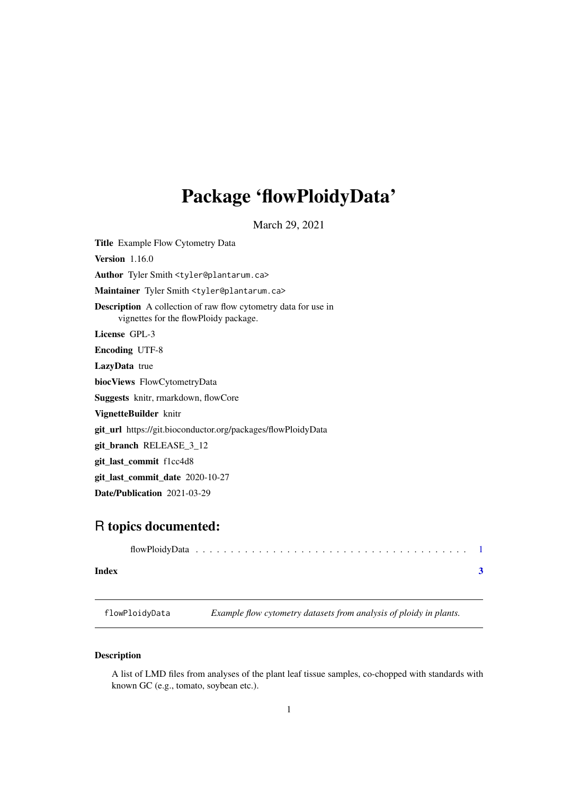## <span id="page-0-0"></span>Package 'flowPloidyData'

March 29, 2021

Title Example Flow Cytometry Data **Version** 1.16.0 Author Tyler Smith <tyler@plantarum.ca> Maintainer Tyler Smith <tyler@plantarum.ca> Description A collection of raw flow cytometry data for use in vignettes for the flowPloidy package. License GPL-3 Encoding UTF-8 LazyData true biocViews FlowCytometryData Suggests knitr, rmarkdown, flowCore VignetteBuilder knitr git\_url https://git.bioconductor.org/packages/flowPloidyData git\_branch RELEASE\_3\_12 git\_last\_commit f1cc4d8 git\_last\_commit\_date 2020-10-27 Date/Publication 2021-03-29

### R topics documented:

| Index |  |  |  |  |  |  |  |  |  |  |  |  |  |  |
|-------|--|--|--|--|--|--|--|--|--|--|--|--|--|--|

flowPloidyData *Example flow cytometry datasets from analysis of ploidy in plants.*

#### Description

A list of LMD files from analyses of the plant leaf tissue samples, co-chopped with standards with known GC (e.g., tomato, soybean etc.).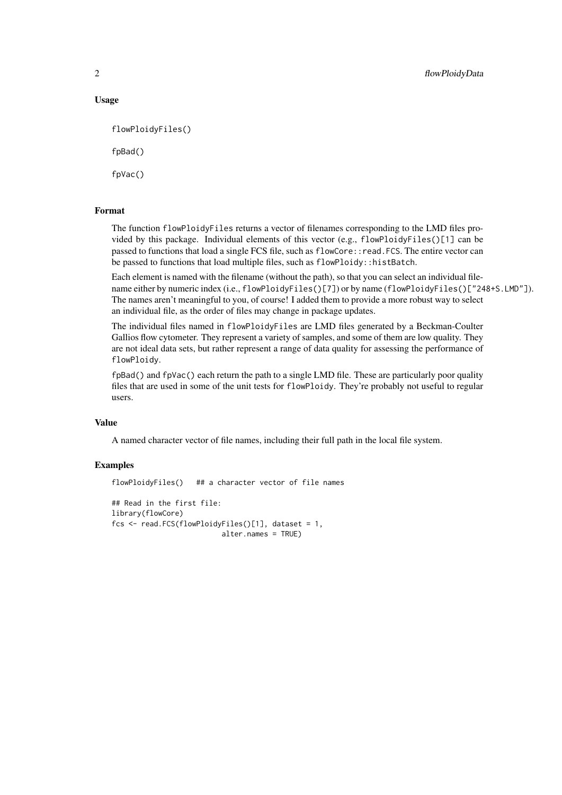#### Usage

```
flowPloidyFiles()
fpBad()
```
fpVac()

#### Format

The function flowPloidyFiles returns a vector of filenames corresponding to the LMD files provided by this package. Individual elements of this vector (e.g., flowPloidyFiles()[1] can be passed to functions that load a single FCS file, such as flowCore::read.FCS. The entire vector can be passed to functions that load multiple files, such as flowPloidy::histBatch.

Each element is named with the filename (without the path), so that you can select an individual filename either by numeric index (i.e., flowPloidyFiles()[7]) or by name (flowPloidyFiles()["248+S.LMD"]). The names aren't meaningful to you, of course! I added them to provide a more robust way to select an individual file, as the order of files may change in package updates.

The individual files named in flowPloidyFiles are LMD files generated by a Beckman-Coulter Gallios flow cytometer. They represent a variety of samples, and some of them are low quality. They are not ideal data sets, but rather represent a range of data quality for assessing the performance of flowPloidy.

fpBad() and fpVac() each return the path to a single LMD file. These are particularly poor quality files that are used in some of the unit tests for flowPloidy. They're probably not useful to regular users.

#### Value

A named character vector of file names, including their full path in the local file system.

#### Examples

```
flowPloidyFiles() ## a character vector of file names
## Read in the first file:
library(flowCore)
fcs <- read.FCS(flowPloidyFiles()[1], dataset = 1,
                         alter.names = TRUE)
```